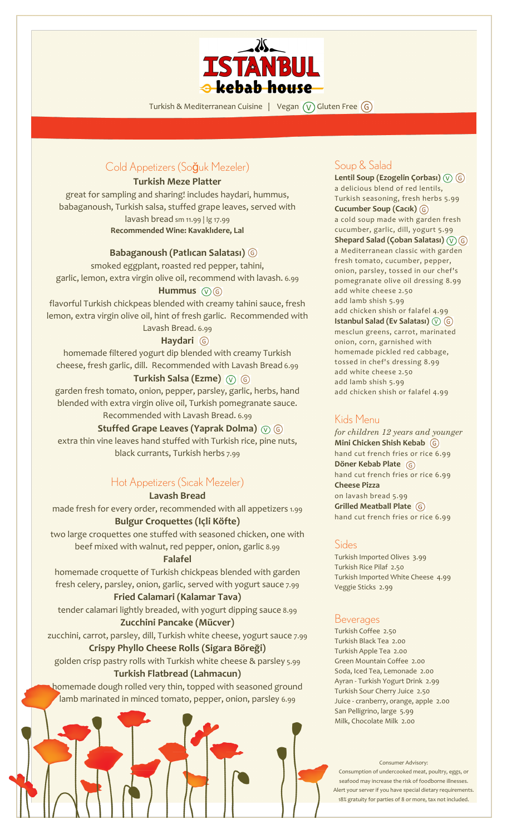

Turkish & Mediterranean Cuisine | Vegan  $\overline{(V)}$  Gluten Free  $\overline{(G)}$ 

# Cold Appetizers (Soğuk Mezeler)

#### **Turkish Meze Platter**

great for sampling and sharing! includes haydari, hummus, babaganoush, Turkish salsa, stuffed grape leaves, served with lavash bread sm 11.99 | lg 17.99 **Recommended Wine: Kavaklıdere, Lal**

### **Babaganoush (Patlıcan Salatası)**

smoked eggplant, roasted red pepper, tahini, garlic, lemon, extra virgin olive oil, recommend with lavash. 6.99 Hummus  $\circledR$  **G** 

flavorful Turkish chickpeas blended with creamy tahini sauce, fresh lemon, extra virgin olive oil, hint of fresh garlic. Recommended with

> Lavash Bread. 6.99 **Haydari**

homemade filtered yogurt dip blended with creamy Turkish cheese, fresh garlic, dill. Recommended with Lavash Bread 6.99

#### **Turkish Salsa (Ezme)**

garden fresh tomato, onion, pepper, parsley, garlic, herbs, hand blended with extra virgin olive oil, Turkish pomegranate sauce.

## Recommended with Lavash Bread. 6.99

**Stuffed Grape Leaves (Yaprak Dolma)**

extra thin vine leaves hand stuffed with Turkish rice, pine nuts, black currants, Turkish herbs 7.99

## Hot Appetizers (Sıcak Mezeler)

### **Lavash Bread**

made fresh for every order, recommended with all appetizers 1.99 **Bulgur Croquettes (Içli Köfte)**

two large croquettes one stuffed with seasoned chicken, one with beef mixed with walnut, red pepper, onion, garlic 8.99

#### **Falafel**

homemade croquette of Turkish chickpeas blended with garden fresh celery, parsley, onion, garlic, served with yogurt sauce 7.99

# **Fried Calamari (Kalamar Tava)**

tender calamari lightly breaded, with yogurt dipping sauce 8.99 **Zucchini Pancake (Mücver)**

zucchini, carrot, parsley, dill, Turkish white cheese, yogurt sauce 7.99 **Crispy Phyllo Cheese Rolls (Sigara Böreği)**

golden crisp pastry rolls with Turkish white cheese & parsley 5.99 **Turkish Flatbread (Lahmacun)**

homemade dough rolled very thin, topped with seasoned ground lamb marinated in minced tomato, pepper, onion, parsley 6.99

## Soup & Salad

**Lentil Soup (Ezogelin Çorbası)** a delicious blend of red lentils, Turkish seasoning, fresh herbs 5.99 **Cucumber Soup (Cacık)** a cold soup made with garden fresh cucumber, garlic, dill, yogurt 5.99 **Shepard Salad (Çoban Salatası)** a Mediterranean classic with garden fresh tomato, cucumber, pepper, onion, parsley, tossed in our chef's pomegranate olive oil dressing 8.99 add white cheese 2.50 add lamb shish 5.99 add chicken shish or falafel 4.99 **Istanbul Salad (Ev Salatası)** mesclun greens, carrot, marinated onion, corn, garnished with homemade pickled red cabbage, tossed in chef's dressing 8.99 add white cheese 2.50 add lamb shish 5.99 add chicken shish or falafel 4.99

## Kids Menu

*for children 12 years and younger* **Mini Chicken Shish Kebab** hand cut french fries or rice 6.99 **Döner Kebab Plate** hand cut french fries or rice 6.99 **Cheese Pizza** on lavash bread 5.99 **Grilled Meatball Plate** hand cut french fries or rice 6.99

### **Sides**

Turkish Imported Olives 3.99 Turkish Rice Pilaf 2.50 Turkish Imported White Cheese 4.99 Veggie Sticks 2.99

### **Beverages**

Turkish Coffee 2.50 Turkish Black Tea 2.00 Turkish Apple Tea 2.00 Green Mountain Coffee 2.00 Soda, Iced Tea, Lemonade 2.00 Ayran - Turkish Yogurt Drink 2.99 Turkish Sour Cherry Juice 2.50 Juice - cranberry, orange, apple 2.00 San Pelligrino, large 5.99 Milk, Chocolate Milk 2.00

Consumer Advisory: Consumption of undercooked meat, poultry, eggs, or seafood may increase the risk of foodborne illnesses. Alert your server if you have special dietary requirements. 18% gratuity for parties of 8 or more, tax not included.